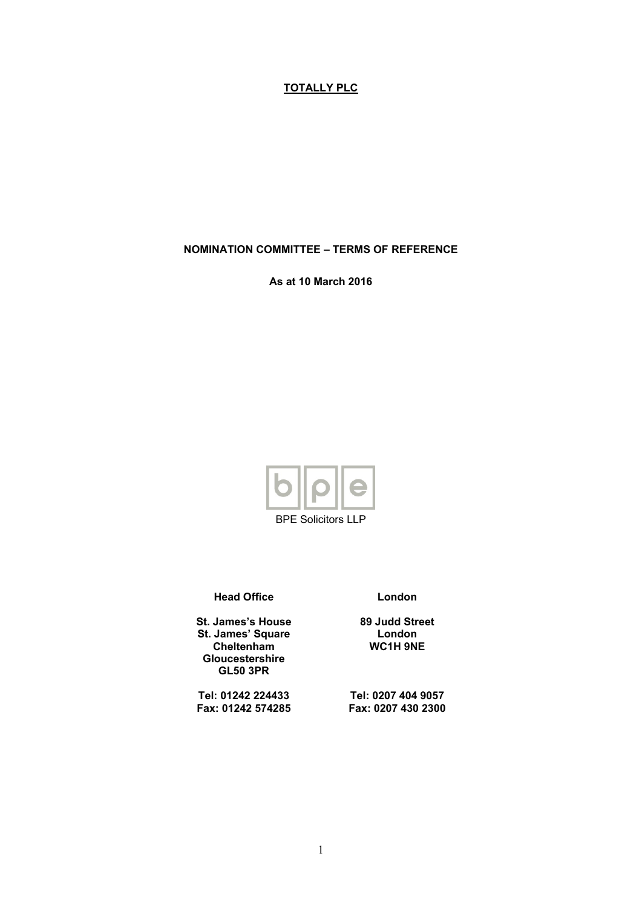# **TOTALLY PLC**

**NOMINATION COMMITTEE – TERMS OF REFERENCE**

**As at 10 March 2016**



BPE Solicitors LLP

**Head Office**

**St. James's House St. James' Square Cheltenham Gloucestershire GL50 3PR**

**Tel: 01242 224433 Fax: 01242 574285** **London**

**89 Judd Street London WC1H 9NE**

**Tel: 0207 404 9057 Fax: 0207 430 2300**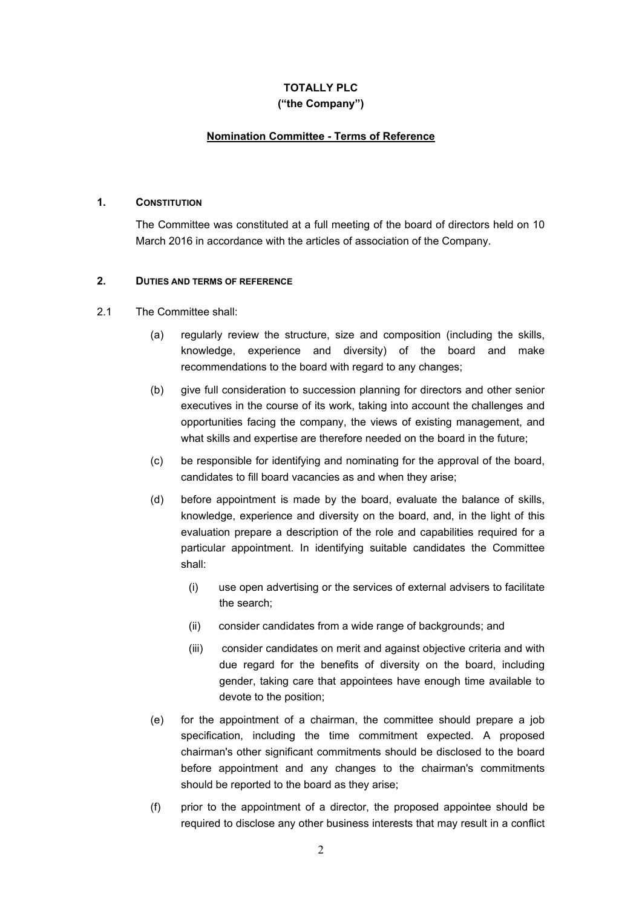# **TOTALLY PLC ("the Company")**

## **Nomination Committee - Terms of Reference**

#### **1. CONSTITUTION**

The Committee was constituted at a full meeting of the board of directors held on 10 March 2016 in accordance with the articles of association of the Company.

## **2. DUTIES AND TERMS OF REFERENCE**

#### 2.1 The Committee shall:

- (a) regularly review the structure, size and composition (including the skills, knowledge, experience and diversity) of the board and make recommendations to the board with regard to any changes;
- (b) give full consideration to succession planning for directors and other senior executives in the course of its work, taking into account the challenges and opportunities facing the company, the views of existing management, and what skills and expertise are therefore needed on the board in the future;
- (c) be responsible for identifying and nominating for the approval of the board, candidates to fill board vacancies as and when they arise;
- (d) before appointment is made by the board, evaluate the balance of skills, knowledge, experience and diversity on the board, and, in the light of this evaluation prepare a description of the role and capabilities required for a particular appointment. In identifying suitable candidates the Committee shall:
	- (i) use open advertising or the services of external advisers to facilitate the search;
	- (ii) consider candidates from a wide range of backgrounds; and
	- (iii) consider candidates on merit and against objective criteria and with due regard for the benefits of diversity on the board, including gender, taking care that appointees have enough time available to devote to the position;
- (e) for the appointment of a chairman, the committee should prepare a job specification, including the time commitment expected. A proposed chairman's other significant commitments should be disclosed to the board before appointment and any changes to the chairman's commitments should be reported to the board as they arise;
- (f) prior to the appointment of a director, the proposed appointee should be required to disclose any other business interests that may result in a conflict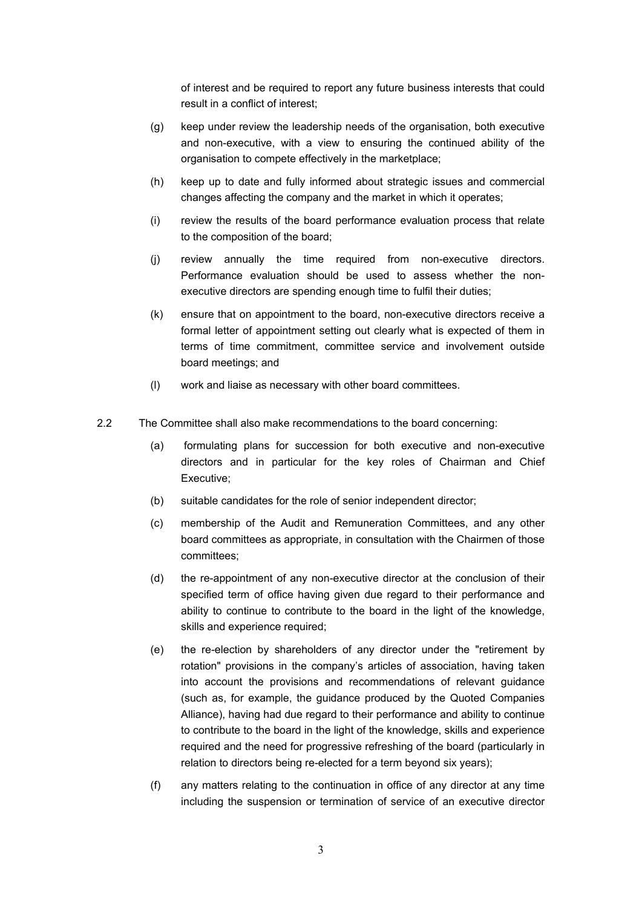of interest and be required to report any future business interests that could result in a conflict of interest;

- (g) keep under review the leadership needs of the organisation, both executive and non-executive, with a view to ensuring the continued ability of the organisation to compete effectively in the marketplace;
- (h) keep up to date and fully informed about strategic issues and commercial changes affecting the company and the market in which it operates;
- (i) review the results of the board performance evaluation process that relate to the composition of the board;
- (j) review annually the time required from non-executive directors. Performance evaluation should be used to assess whether the nonexecutive directors are spending enough time to fulfil their duties;
- (k) ensure that on appointment to the board, non-executive directors receive a formal letter of appointment setting out clearly what is expected of them in terms of time commitment, committee service and involvement outside board meetings; and
- (l) work and liaise as necessary with other board committees.
- 2.2 The Committee shall also make recommendations to the board concerning:
	- (a) formulating plans for succession for both executive and non-executive directors and in particular for the key roles of Chairman and Chief Executive;
	- (b) suitable candidates for the role of senior independent director;
	- (c) membership of the Audit and Remuneration Committees, and any other board committees as appropriate, in consultation with the Chairmen of those committees;
	- (d) the re-appointment of any non-executive director at the conclusion of their specified term of office having given due regard to their performance and ability to continue to contribute to the board in the light of the knowledge, skills and experience required;
	- (e) the re-election by shareholders of any director under the "retirement by rotation" provisions in the company's articles of association, having taken into account the provisions and recommendations of relevant guidance (such as, for example, the guidance produced by the Quoted Companies Alliance), having had due regard to their performance and ability to continue to contribute to the board in the light of the knowledge, skills and experience required and the need for progressive refreshing of the board (particularly in relation to directors being re-elected for a term beyond six years);
	- (f) any matters relating to the continuation in office of any director at any time including the suspension or termination of service of an executive director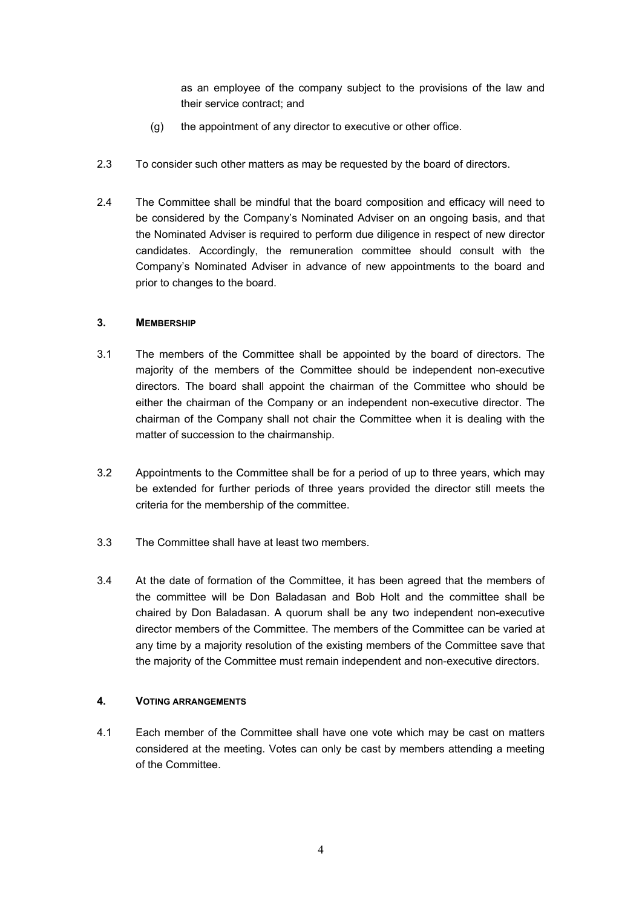as an employee of the company subject to the provisions of the law and their service contract; and

- (g) the appointment of any director to executive or other office.
- 2.3 To consider such other matters as may be requested by the board of directors.
- 2.4 The Committee shall be mindful that the board composition and efficacy will need to be considered by the Company's Nominated Adviser on an ongoing basis, and that the Nominated Adviser is required to perform due diligence in respect of new director candidates. Accordingly, the remuneration committee should consult with the Company's Nominated Adviser in advance of new appointments to the board and prior to changes to the board.

## **3. MEMBERSHIP**

- 3.1 The members of the Committee shall be appointed by the board of directors. The majority of the members of the Committee should be independent non-executive directors. The board shall appoint the chairman of the Committee who should be either the chairman of the Company or an independent non-executive director. The chairman of the Company shall not chair the Committee when it is dealing with the matter of succession to the chairmanship.
- 3.2 Appointments to the Committee shall be for a period of up to three years, which may be extended for further periods of three years provided the director still meets the criteria for the membership of the committee.
- 3.3 The Committee shall have at least two members.
- 3.4 At the date of formation of the Committee, it has been agreed that the members of the committee will be Don Baladasan and Bob Holt and the committee shall be chaired by Don Baladasan. A quorum shall be any two independent non-executive director members of the Committee. The members of the Committee can be varied at any time by a majority resolution of the existing members of the Committee save that the majority of the Committee must remain independent and non-executive directors.

## **4. VOTING ARRANGEMENTS**

4.1 Each member of the Committee shall have one vote which may be cast on matters considered at the meeting. Votes can only be cast by members attending a meeting of the Committee.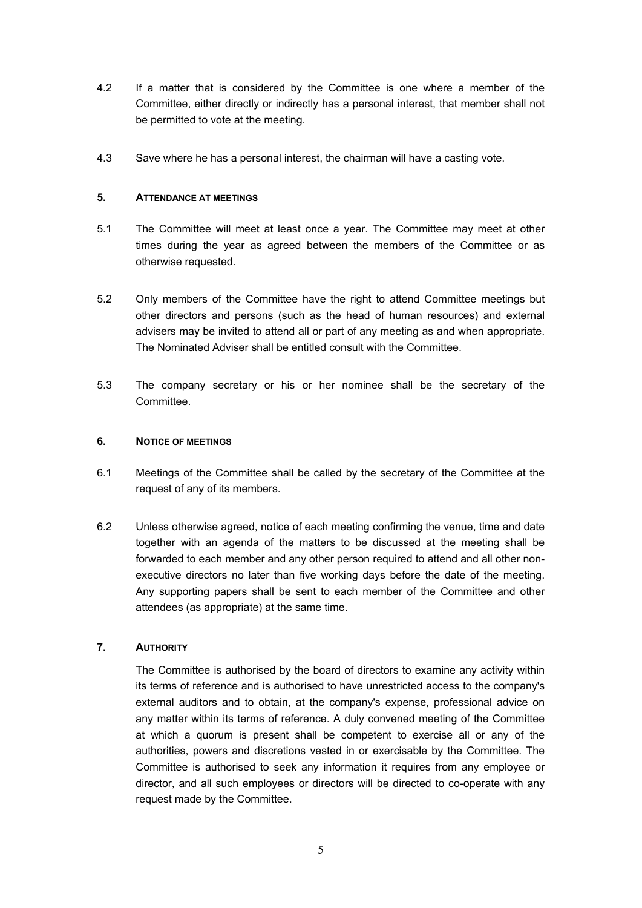- 4.2 If a matter that is considered by the Committee is one where a member of the Committee, either directly or indirectly has a personal interest, that member shall not be permitted to vote at the meeting.
- 4.3 Save where he has a personal interest, the chairman will have a casting vote.

## **5. ATTENDANCE AT MEETINGS**

- 5.1 The Committee will meet at least once a year. The Committee may meet at other times during the year as agreed between the members of the Committee or as otherwise requested.
- 5.2 Only members of the Committee have the right to attend Committee meetings but other directors and persons (such as the head of human resources) and external advisers may be invited to attend all or part of any meeting as and when appropriate. The Nominated Adviser shall be entitled consult with the Committee.
- 5.3 The company secretary or his or her nominee shall be the secretary of the Committee.

## **6. NOTICE OF MEETINGS**

- 6.1 Meetings of the Committee shall be called by the secretary of the Committee at the request of any of its members.
- 6.2 Unless otherwise agreed, notice of each meeting confirming the venue, time and date together with an agenda of the matters to be discussed at the meeting shall be forwarded to each member and any other person required to attend and all other nonexecutive directors no later than five working days before the date of the meeting. Any supporting papers shall be sent to each member of the Committee and other attendees (as appropriate) at the same time.

# **7. AUTHORITY**

The Committee is authorised by the board of directors to examine any activity within its terms of reference and is authorised to have unrestricted access to the company's external auditors and to obtain, at the company's expense, professional advice on any matter within its terms of reference. A duly convened meeting of the Committee at which a quorum is present shall be competent to exercise all or any of the authorities, powers and discretions vested in or exercisable by the Committee. The Committee is authorised to seek any information it requires from any employee or director, and all such employees or directors will be directed to co-operate with any request made by the Committee.